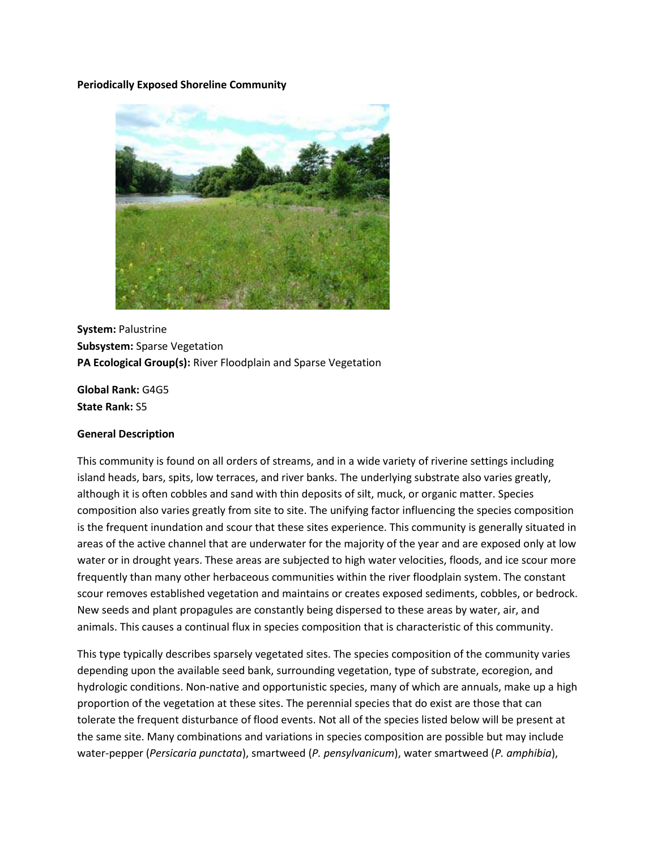#### **Periodically Exposed Shoreline Community**



**System:** Palustrine **Subsystem:** Sparse Vegetation **PA Ecological Group(s):** River Floodplain and Sparse Vegetation

**Global Rank:** G4G5 **State Rank:** S5

#### **General Description**

This community is found on all orders of streams, and in a wide variety of riverine settings including island heads, bars, spits, low terraces, and river banks. The underlying substrate also varies greatly, although it is often cobbles and sand with thin deposits of silt, muck, or organic matter. Species composition also varies greatly from site to site. The unifying factor influencing the species composition is the frequent inundation and scour that these sites experience. This community is generally situated in areas of the active channel that are underwater for the majority of the year and are exposed only at low water or in drought years. These areas are subjected to high water velocities, floods, and ice scour more frequently than many other herbaceous communities within the river floodplain system. The constant scour removes established vegetation and maintains or creates exposed sediments, cobbles, or bedrock. New seeds and plant propagules are constantly being dispersed to these areas by water, air, and animals. This causes a continual flux in species composition that is characteristic of this community.

This type typically describes sparsely vegetated sites. The species composition of the community varies depending upon the available seed bank, surrounding vegetation, type of substrate, ecoregion, and hydrologic conditions. Non-native and opportunistic species, many of which are annuals, make up a high proportion of the vegetation at these sites. The perennial species that do exist are those that can tolerate the frequent disturbance of flood events. Not all of the species listed below will be present at the same site. Many combinations and variations in species composition are possible but may include water-pepper (*Persicaria punctata*), smartweed (*P. pensylvanicum*), water smartweed (*P. amphibia*),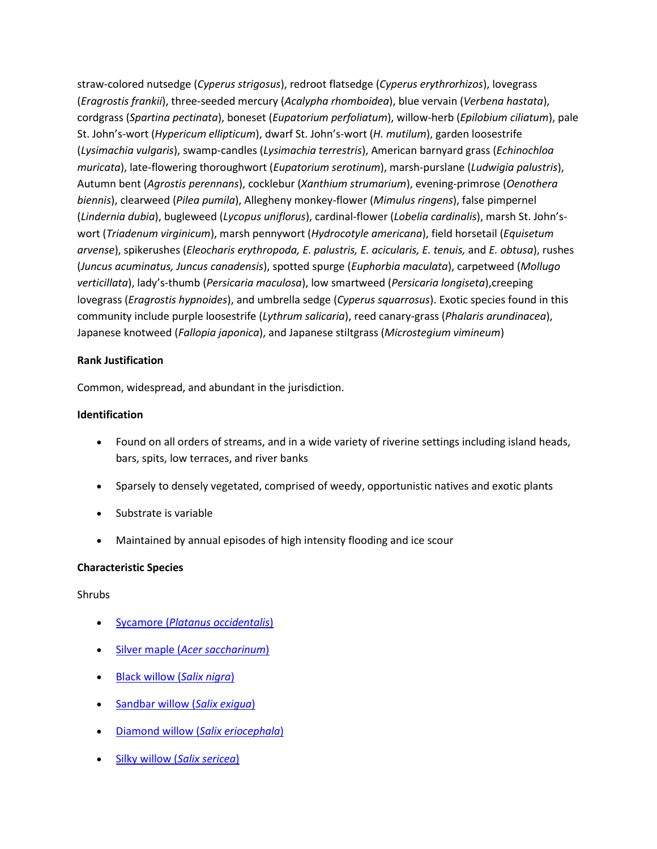straw-colored nutsedge (*Cyperus strigosus*), redroot flatsedge (*Cyperus erythrorhizos*), lovegrass (*Eragrostis frankii*), three-seeded mercury (*Acalypha rhomboidea*), blue vervain (*Verbena hastata*), cordgrass (*Spartina pectinata*), boneset (*Eupatorium perfoliatum*), willow-herb (*Epilobium ciliatum*), pale St. John's-wort (*Hypericum ellipticum*), dwarf St. John's-wort (*H. mutilum*), garden loosestrife (*Lysimachia vulgaris*), swamp-candles (*Lysimachia terrestris*), American barnyard grass (*Echinochloa muricata*), late-flowering thoroughwort (*Eupatorium serotinum*), marsh-purslane (*Ludwigia palustris*), Autumn bent (*Agrostis perennans*), cocklebur (*Xanthium strumarium*), evening-primrose (*Oenothera biennis*), clearweed (*Pilea pumila*), Allegheny monkey-flower (*Mimulus ringens*), false pimpernel (*Lindernia dubia*), bugleweed (*Lycopus uniflorus*), cardinal-flower (*Lobelia cardinalis*), marsh St. John'swort (*Triadenum virginicum*), marsh pennywort (*Hydrocotyle americana*), field horsetail (*Equisetum arvense*), spikerushes (*Eleocharis erythropoda, E. palustris, E. acicularis, E. tenuis,* and *E. obtusa*), rushes (*Juncus acuminatus, Juncus canadensis*), spotted spurge (*Euphorbia maculata*), carpetweed (*Mollugo verticillata*), lady's-thumb (*Persicaria maculosa*), low smartweed (*Persicaria longiseta*),creeping lovegrass (*Eragrostis hypnoides*), and umbrella sedge (*Cyperus squarrosus*). Exotic species found in this community include purple loosestrife (*Lythrum salicaria*), reed canary-grass (*Phalaris arundinacea*), Japanese knotweed (*Fallopia japonica*), and Japanese stiltgrass (*Microstegium vimineum*)

#### **Rank Justification**

Common, widespread, and abundant in the jurisdiction.

## **Identification**

- Found on all orders of streams, and in a wide variety of riverine settings including island heads, bars, spits, low terraces, and river banks
- Sparsely to densely vegetated, comprised of weedy, opportunistic natives and exotic plants
- Substrate is variable
- Maintained by annual episodes of high intensity flooding and ice scour

## **Characteristic Species**

## Shrubs

- Sycamore (*[Platanus occidentalis](http://www.natureserve.org/explorer/servlet/NatureServe?searchName=Platanus+occidentalis)*)
- Silver maple (*[Acer saccharinum](http://www.natureserve.org/explorer/servlet/NatureServe?searchName=Acer+saccharinum)*)
- [Black willow \(](http://www.natureserve.org/explorer/servlet/NatureServe?searchName=Salix+nigra)*Salix nigra*)
- [Sandbar willow \(](http://www.natureserve.org/explorer/servlet/NatureServe?searchName=Salix+exigua)*Salix exigua*)
- [Diamond willow \(](http://www.natureserve.org/explorer/servlet/NatureServe?searchName=Salix+eriocephala)*Salix eriocephala*)
- [Silky willow \(](http://www.natureserve.org/explorer/servlet/NatureServe?searchName=Salix+sericea)*Salix sericea*)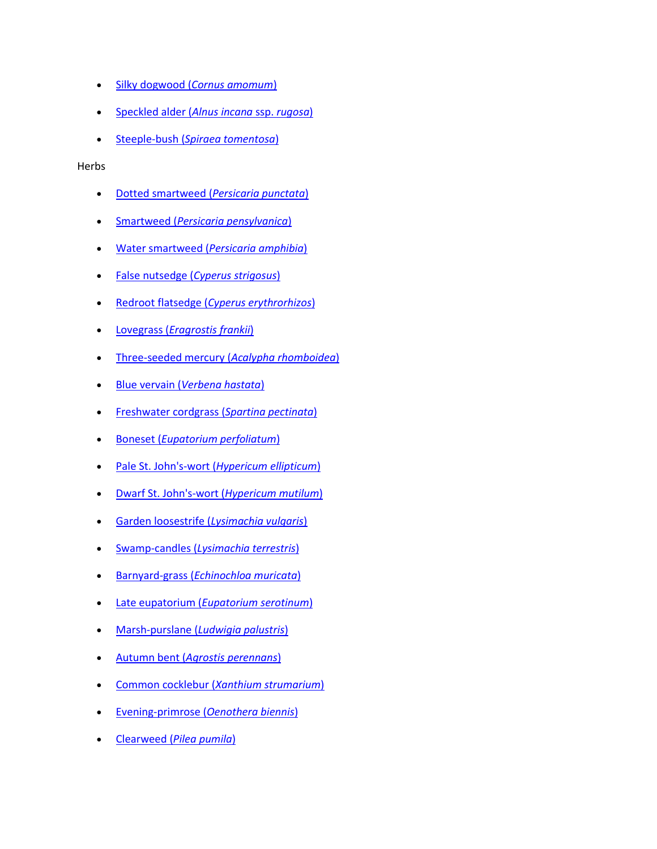- Silky dogwood (*[Cornus amomum](http://www.natureserve.org/explorer/servlet/NatureServe?searchName=Cornus+amomum+ssp.+amomum)*)
- [Speckled alder \(](http://www.natureserve.org/explorer/servlet/NatureServe?searchName=Alnus+incana+ssp.+rugosa)*Alnus incana* ssp. *rugosa*)
- Steeple-bush (*[Spiraea tomentosa](http://www.natureserve.org/explorer/servlet/NatureServe?searchName=Spiraea+tomentosa)*)

Herbs

- [Dotted smartweed \(](http://www.natureserve.org/explorer/servlet/NatureServe?searchName=Polygonum+punctatum%20%20)*Persicaria punctata*)
- Smartweed (*[Persicaria pensylvanica](http://www.natureserve.org/explorer/servlet/NatureServe?searchName=Polygonum+pensylvanicum%20%20)*)
- Water smartweed (*[Persicaria amphibia](http://www.natureserve.org/explorer/servlet/NatureServe?searchName=Polygonum+amphibium%20)*)
- False nutsedge (*[Cyperus strigosus](http://www.natureserve.org/explorer/servlet/NatureServe?searchName=Cyperus+strigosus)*)
- Redroot flatsedge (*[Cyperus erythrorhizos](http://www.natureserve.org/explorer/servlet/NatureServe?searchName=Cyperus+erythrorhizos)*)
- Lovegrass (*[Eragrostis frankii](http://www.natureserve.org/explorer/servlet/NatureServe?searchName=Eragrostis+frankii)*)
- [Three-seeded mercury \(](http://www.natureserve.org/explorer/servlet/NatureServe?searchName=Acalypha+rhomboidea)*Acalypha rhomboidea*)
- Blue vervain (*[Verbena hastata](http://www.natureserve.org/explorer/servlet/NatureServe?searchName=Verbena+hastata)*)
- [Freshwater cordgrass \(](http://www.natureserve.org/explorer/servlet/NatureServe?searchName=Spartina+pectinata)*Spartina pectinata*)
- Boneset (*[Eupatorium perfoliatum](http://www.natureserve.org/explorer/servlet/NatureServe?searchName=Eupatorium+perfoliatum)*)
- Pale St. John's-wort (*[Hypericum ellipticum](http://www.natureserve.org/explorer/servlet/NatureServe?searchName=Hypericum+ellipticum)*)
- [Dwarf St. John's-wort \(](http://www.natureserve.org/explorer/servlet/NatureServe?searchName=Hypericum+mutilum)*Hypericum mutilum*)
- [Garden loosestrife \(](http://www.natureserve.org/explorer/servlet/NatureServe?searchName=Lysimachia+vulgaris)*Lysimachia vulgaris*)
- Swamp-candles (*[Lysimachia terrestris](http://www.natureserve.org/explorer/servlet/NatureServe?searchName=Lysimachia+terrestris)*)
- Barnyard-grass (*[Echinochloa muricata](http://www.natureserve.org/explorer/servlet/NatureServe?searchName=Echinochloa+muricata)*)
- Late eupatorium (*[Eupatorium serotinum](http://www.natureserve.org/explorer/servlet/NatureServe?searchName=Eupatorium+serotinum)*)
- Marsh-purslane (*[Ludwigia palustris](http://www.natureserve.org/explorer/servlet/NatureServe?searchName=Ludwigia+palustris)*)
- Autumn bent (*[Agrostis perennans](http://www.natureserve.org/explorer/servlet/NatureServe?searchName=Agrostis+perennans)*)
- Common cocklebur (*[Xanthium strumarium](http://www.natureserve.org/explorer/servlet/NatureServe?searchName=Xanthium+strumarium)*)
- [Evening-primrose \(](http://www.natureserve.org/explorer/servlet/NatureServe?searchName=Oenothera+biennis)*Oenothera biennis*)
- Clearweed (*[Pilea pumila](http://www.natureserve.org/explorer/servlet/NatureServe?searchName=Pilea+pumila)*)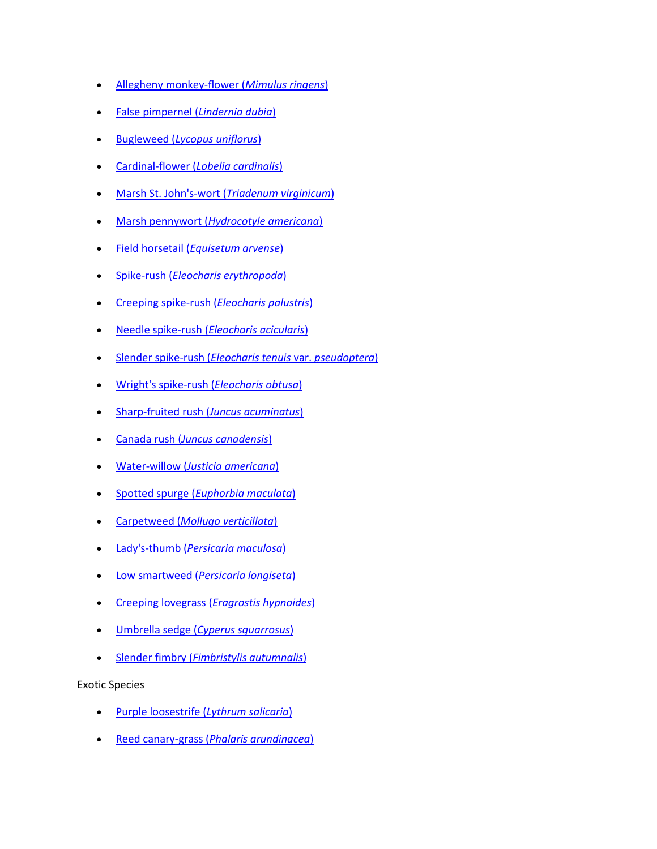- [Allegheny monkey-flower \(](http://www.natureserve.org/explorer/servlet/NatureServe?searchName=Mimulus+ringens)*Mimulus ringens*)
- [False pimpernel \(](http://www.natureserve.org/explorer/servlet/NatureServe?searchName=Lindernia+dubia)*Lindernia dubia*)
- Bugleweed (*[Lycopus uniflorus](http://www.natureserve.org/explorer/servlet/NatureServe?searchName=Lycopus+uniflorus)*)
- Cardinal-flower (*[Lobelia cardinalis](http://www.natureserve.org/explorer/servlet/NatureServe?searchName=Lobelia+cardinalis)*)
- [Marsh St. John's-wort \(](http://www.natureserve.org/explorer/servlet/NatureServe?searchName=Triadenum+virginicum)*Triadenum virginicum*)
- Marsh pennywort (*[Hydrocotyle americana](http://www.natureserve.org/explorer/servlet/NatureServe?searchName=Hydrocotyle+americana)*)
- Field horsetail (*[Equisetum arvense](http://www.natureserve.org/explorer/servlet/NatureServe?searchName=Equisetum+arvense)*)
- Spike-rush (*[Eleocharis erythropoda](http://www.natureserve.org/explorer/servlet/NatureServe?searchName=Eleocharis+erythropoda)*)
- [Creeping spike-rush \(](http://www.natureserve.org/explorer/servlet/NatureServe?searchName=Eleocharis+palustris)*Eleocharis palustris*)
- Needle spike-rush (*[Eleocharis acicularis](http://www.natureserve.org/explorer/servlet/NatureServe?searchName=Eleocharis+acicularis)*)
- [Slender spike-rush \(](http://www.natureserve.org/explorer/servlet/NatureServe?searchName=Eleocharis+tenuis+var.+pseudoptera)*Eleocharis tenuis* var. *pseudoptera*)
- [Wright's spike-rush \(](http://www.natureserve.org/explorer/servlet/NatureServe?searchName=Eleocharis+obtusa)*Eleocharis obtusa*)
- [Sharp-fruited rush \(](http://www.natureserve.org/explorer/servlet/NatureServe?searchName=Juncus+acuminatus)*Juncus acuminatus*)
- Canada rush (*[Juncus canadensis](http://www.natureserve.org/explorer/servlet/NatureServe?searchName=Juncus+canadensis)*)
- Water-willow (*[Justicia americana](http://www.natureserve.org/explorer/servlet/NatureServe?searchName=Justicia+americana)*)
- Spotted spurge (*[Euphorbia maculata](http://www.natureserve.org/explorer/servlet/NatureServe?searchName=Chamaesyce+maculata)*)
- Carpetweed (*[Mollugo verticillata](http://www.natureserve.org/explorer/servlet/NatureServe?searchName=Mollugo+verticillata)*)
- Lady's-thumb (*[Persicaria maculosa](http://www.natureserve.org/explorer/servlet/NatureServe?searchName=Polygonum+persicaria%20)*)
- Low smartweed (*[Persicaria longiseta](http://www.natureserve.org/explorer/servlet/NatureServe?searchName=Polygonum+caespitosum+var.+longisetum%20)*)
- Creeping lovegrass (*[Eragrostis hypnoides](http://www.natureserve.org/explorer/servlet/NatureServe?searchName=Eragrostis+hypnoides)*)
- Umbrella sedge (*[Cyperus squarrosus](http://www.natureserve.org/explorer/servlet/NatureServe?searchName=Cyperus+squarrosus)*)
- Slender fimbry (*[Fimbristylis autumnalis](http://www.natureserve.org/explorer/servlet/NatureServe?searchName=Fimbristylis+autumnalis)*)

Exotic Species

- [Purple loosestrife \(](http://www.natureserve.org/explorer/servlet/NatureServe?searchName=Lythrum+salicaria)*Lythrum salicaria*)
- Reed canary-grass (*[Phalaris arundinacea](http://www.natureserve.org/explorer/servlet/NatureServe?searchName=Phalaris+arundinacea)*)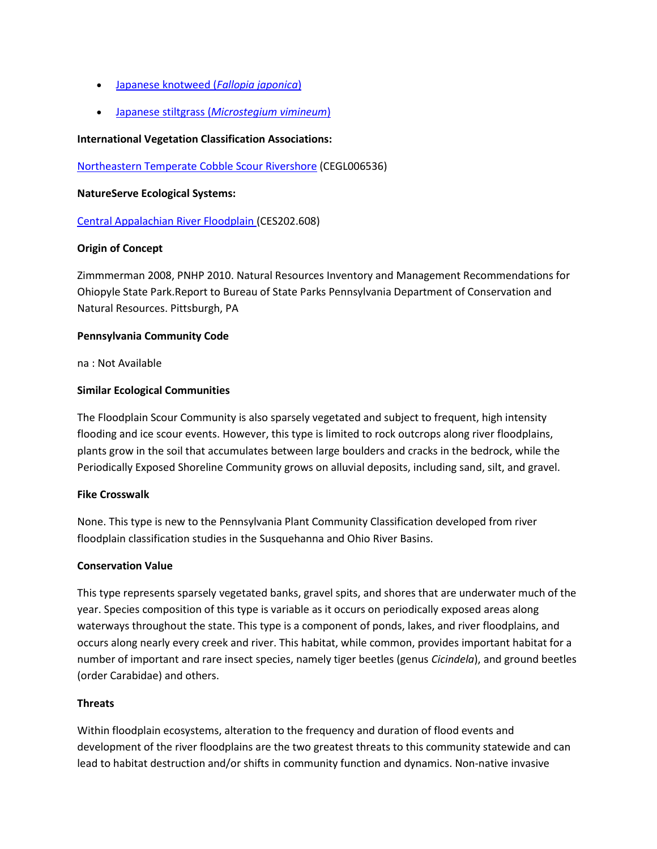- [Japanese knotweed \(](http://www.natureserve.org/explorer/servlet/NatureServe?searchName=Polygonum+cuspidatum)*Fallopia japonica*)
- Japanese stiltgrass (*[Microstegium vimineum](http://www.natureserve.org/explorer/servlet/NatureServe?searchName=Microstegium+vimineum)*)

## **International Vegetation Classification Associations:**

[Northeastern Temperate Cobble Scour Rivershore](http://www.natureserve.org/explorer/servlet/NatureServe?searchCommunityUid=ELEMENT_GLOBAL.2.684638) (CEGL006536)

#### **NatureServe Ecological Systems:**

[Central Appalachian River Floodplain \(](http://www.natureserve.org/explorer/servlet/NatureServe?searchSystemUid=ELEMENT_GLOBAL.2.723001)CES202.608)

## **Origin of Concept**

Zimmmerman 2008, PNHP 2010. Natural Resources Inventory and Management Recommendations for Ohiopyle State Park.Report to Bureau of State Parks Pennsylvania Department of Conservation and Natural Resources. Pittsburgh, PA

## **Pennsylvania Community Code**

na : Not Available

#### **Similar Ecological Communities**

The Floodplain Scour Community is also sparsely vegetated and subject to frequent, high intensity flooding and ice scour events. However, this type is limited to rock outcrops along river floodplains, plants grow in the soil that accumulates between large boulders and cracks in the bedrock, while the Periodically Exposed Shoreline Community grows on alluvial deposits, including sand, silt, and gravel.

## **Fike Crosswalk**

None. This type is new to the Pennsylvania Plant Community Classification developed from river floodplain classification studies in the Susquehanna and Ohio River Basins.

## **Conservation Value**

This type represents sparsely vegetated banks, gravel spits, and shores that are underwater much of the year. Species composition of this type is variable as it occurs on periodically exposed areas along waterways throughout the state. This type is a component of ponds, lakes, and river floodplains, and occurs along nearly every creek and river. This habitat, while common, provides important habitat for a number of important and rare insect species, namely tiger beetles (genus *Cicindela*), and ground beetles (order Carabidae) and others.

#### **Threats**

Within floodplain ecosystems, alteration to the frequency and duration of flood events and development of the river floodplains are the two greatest threats to this community statewide and can lead to habitat destruction and/or shifts in community function and dynamics. Non-native invasive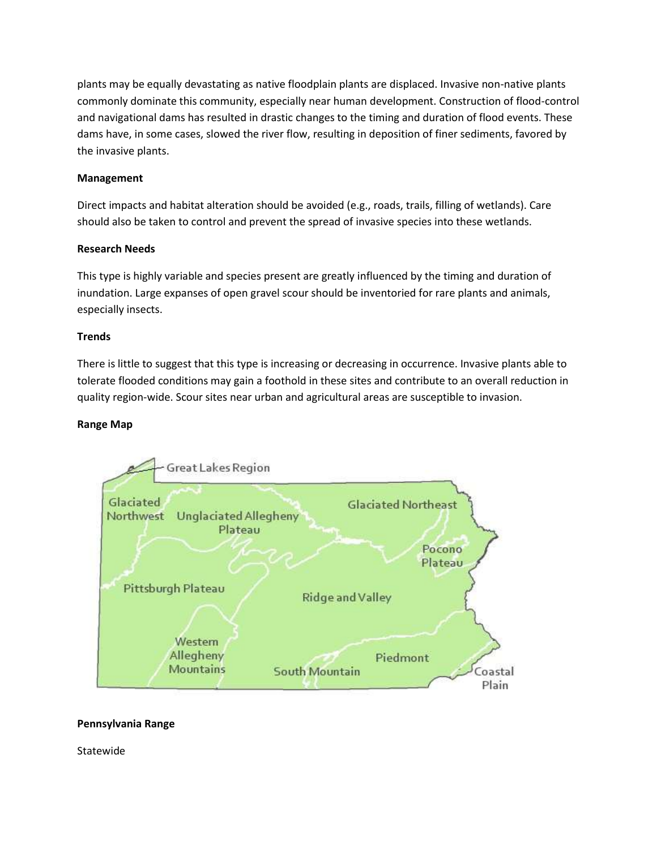plants may be equally devastating as native floodplain plants are displaced. Invasive non-native plants commonly dominate this community, especially near human development. Construction of flood-control and navigational dams has resulted in drastic changes to the timing and duration of flood events. These dams have, in some cases, slowed the river flow, resulting in deposition of finer sediments, favored by the invasive plants.

# **Management**

Direct impacts and habitat alteration should be avoided (e.g., roads, trails, filling of wetlands). Care should also be taken to control and prevent the spread of invasive species into these wetlands.

## **Research Needs**

This type is highly variable and species present are greatly influenced by the timing and duration of inundation. Large expanses of open gravel scour should be inventoried for rare plants and animals, especially insects.

# **Trends**

There is little to suggest that this type is increasing or decreasing in occurrence. Invasive plants able to tolerate flooded conditions may gain a foothold in these sites and contribute to an overall reduction in quality region-wide. Scour sites near urban and agricultural areas are susceptible to invasion.

## **Range Map**



## **Pennsylvania Range**

Statewide